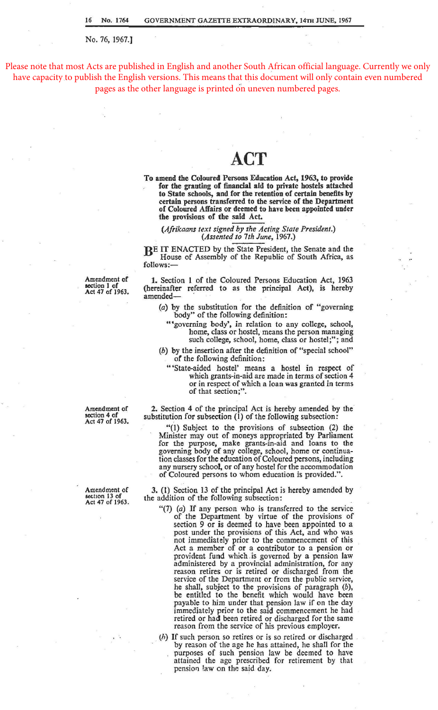No. 76, 1967.]

Please note that most Acts are published in English and another South African official language. Currently we only have capacity to publish the English versions. This means that this document will only contain even numbered pages as the other language is printed on uneven numbered pages.

## **ACT**

To amend the Coloured Persons Education Act, 1963, to provide for the granting of financial aid to private hostels attached to State schools, and for the retention of certain benefits by certain persons transferred to the service of the Department of Coloured Affairs or deemed to have been appointed under the provisions of the said Act.

*(Afrikaans text signed by the Acting State President.) (Assented to 7th June,* 1967.)

BE IT ENACTED by the State President, the Senate and the House of Assembly of the Republic of South Africa, as follows:-

Amendment of section 1 of Act 47 of 1963.

1. Section 1 of the Coloured Persons Education Act, 1963 (hereinafter referred to as the principal Act), is hereby amended-

(a) by the substitution for the definition of "governing body" of the following definition:

"'governing body', in relation to any college, school, home, class or hostel, means the person managing such college, school, home, class or hostel;"; and

(b) by the insertion after the definition of "special school" of the following definition:

"'State-aided hostel' means a hostel in respect of which grants-in-aid are made in terms of section 4 or in respect of which a loan was granted *in* terms of that section;''.

2. Section 4 of the principal Act is hereby amended by the substitution for subsection  $(1)$  of the following subsection:

"(1) Subject to the provisions of subsection (2) the Minister may out of moneys appropriated by Parliament for the purpose, make grants-in-aid and loans to the governing body of any college, school, home or continuation classes for the education of Coloured persons, including any nursery school, or of any hostel for the accommodation of Coloured persons to whom education *is* provided.".

3. (1) Section 13 of the principal Act is hereby amended by the addition of the following subsection:

- "(7) (a) If any person who is transferred to the service of the Department by virtue of the provisions of section 9 or is deemed to have been appointed to a post under the provisions of this Act, and who was not immediately prior to the commencement of this Act a member of or a contributor to a pension or provident fund which.is governed by a pension law administered by a provincial administration, for any reason retires or is retired or discharged from the service of the Department or from the public service, he shall, subject to the provisions of paragraph (b), be entitled to the benefit which would have been payable to him under that pension law if on the day immediately prior to the said commencement he had retired or had been retired or discharged for the same reason from the service of his previous employer.
- (h) If such person so retires or is so retired or discharged by reason of the age he has attained, he shall for the purposes of such pension law be deemed to have attained the age prescribed for retirement by that pension !aw on the said day.

Amendment of section 4 of Act 47 of 1963.

Amendment of section 13 of<br>Act 47 of 1963.